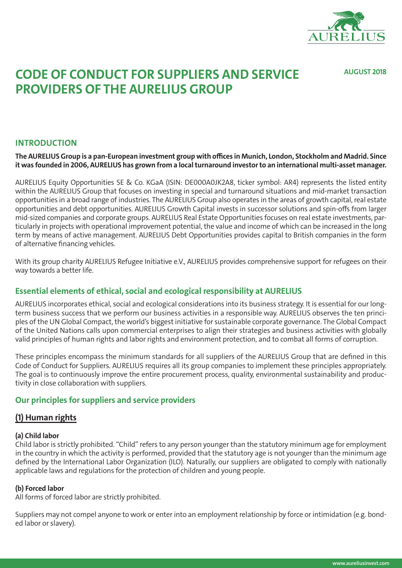

**AUGUST 2018**

# **CODE OF CONDUCT FOR SUPPLIERS AND SERVICE PROVIDERS OF THE AURELIUS GROUP**

# **INTRODUCTION**

#### **The AURELIUS Group is a pan-European investment group with offices in Munich, London, Stockholm and Madrid. Since it was founded in 2006, AURELIUS has grown from a local turnaround investor to an international multi-asset manager.**

AURELIUS Equity Opportunities SE & Co. KGaA (ISIN: DE000A0JK2A8, ticker symbol: AR4) represents the listed entity within the AURELIUS Group that focuses on investing in special and turnaround situations and mid-market transaction opportunities in a broad range of industries. The AURELIUS Group also operates in the areas of growth capital, real estate opportunities and debt opportunities. AURELIUS Growth Capital invests in successor solutions and spin-offs from larger mid-sized companies and corporate groups. AURELIUS Real Estate Opportunities focuses on real estate investments, particularly in projects with operational improvement potential, the value and income of which can be increased in the long term by means of active management. AURELIUS Debt Opportunities provides capital to British companies in the form of alternative financing vehicles.

With its group charity AURELIUS Refugee Initiative e.V., AURELIUS provides comprehensive support for refugees on their way towards a better life.

# **Essential elements of ethical, social and ecological responsibility at AURELIUS**

AURELIUS incorporates ethical, social and ecological considerations into its business strategy. It is essential for our longterm business success that we perform our business activities in a responsible way. AURELIUS observes the ten principles of the UN Global Compact, the world's biggest initiative for sustainable corporate governance. The Global Compact of the United Nations calls upon commercial enterprises to align their strategies and business activities with globally valid principles of human rights and labor rights and environment protection, and to combat all forms of corruption.

These principles encompass the minimum standards for all suppliers of the AURELIUS Group that are defined in this Code of Conduct for Suppliers. AURELIUS requires all its group companies to implement these principles appropriately. The goal is to continuously improve the entire procurement process, quality, environmental sustainability and productivity in close collaboration with suppliers.

# **Our principles for suppliers and service providers**

# **(1) Human rights**

#### **(a) Child labor**

Child labor is strictly prohibited. "Child" refers to any person younger than the statutory minimum age for employment in the country in which the activity is performed, provided that the statutory age is not younger than the minimum age defined by the International Labor Organization (ILO). Naturally, our suppliers are obligated to comply with nationally applicable laws and regulations for the protection of children and young people.

#### **(b) Forced labor**

All forms of forced labor are strictly prohibited.

Suppliers may not compel anyone to work or enter into an employment relationship by force or intimidation (e.g. bonded labor or slavery).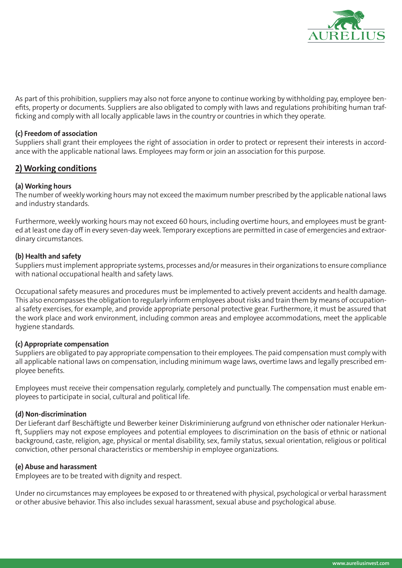

As part of this prohibition, suppliers may also not force anyone to continue working by withholding pay, employee benefits, property or documents. Suppliers are also obligated to comply with laws and regulations prohibiting human trafficking and comply with all locally applicable laws in the country or countries in which they operate.

#### **(c) Freedom of association**

Suppliers shall grant their employees the right of association in order to protect or represent their interests in accordance with the applicable national laws. Employees may form or join an association for this purpose.

# **2) Working conditions**

#### **(a) Working hours**

The number of weekly working hours may not exceed the maximum number prescribed by the applicable national laws and industry standards.

Furthermore, weekly working hours may not exceed 60 hours, including overtime hours, and employees must be granted at least one day off in every seven-day week. Temporary exceptions are permitted in case of emergencies and extraordinary circumstances.

#### **(b) Health and safety**

Suppliers must implement appropriate systems, processes and/or measures in their organizations to ensure compliance with national occupational health and safety laws.

Occupational safety measures and procedures must be implemented to actively prevent accidents and health damage. This also encompasses the obligation to regularly inform employees about risks and train them by means of occupational safety exercises, for example, and provide appropriate personal protective gear. Furthermore, it must be assured that the work place and work environment, including common areas and employee accommodations, meet the applicable hygiene standards.

#### **(c) Appropriate compensation**

Suppliers are obligated to pay appropriate compensation to their employees. The paid compensation must comply with all applicable national laws on compensation, including minimum wage laws, overtime laws and legally prescribed employee benefits.

Employees must receive their compensation regularly, completely and punctually. The compensation must enable employees to participate in social, cultural and political life.

#### **(d) Non-discrimination**

Der Lieferant darf Beschäftigte und Bewerber keiner Diskriminierung aufgrund von ethnischer oder nationaler Herkunft, Suppliers may not expose employees and potential employees to discrimination on the basis of ethnic or national background, caste, religion, age, physical or mental disability, sex, family status, sexual orientation, religious or political conviction, other personal characteristics or membership in employee organizations.

#### **(e) Abuse and harassment**

Employees are to be treated with dignity and respect.

Under no circumstances may employees be exposed to or threatened with physical, psychological or verbal harassment or other abusive behavior. This also includes sexual harassment, sexual abuse and psychological abuse.